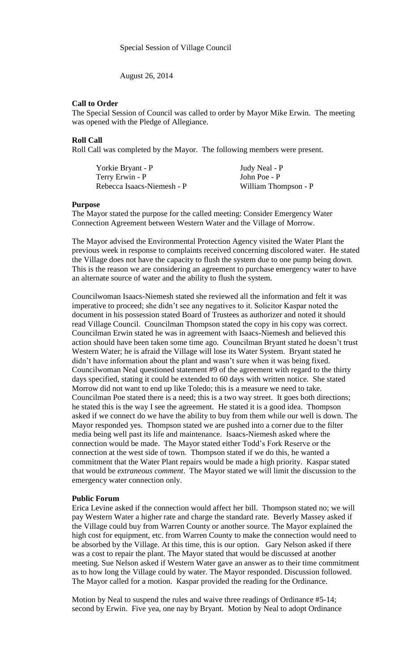August 26, 2014

## **Call to Order**

The Special Session of Council was called to order by Mayor Mike Erwin. The meeting was opened with the Pledge of Allegiance.

### **Roll Call**

Roll Call was completed by the Mayor. The following members were present.

| Yorkie Bryant - P          | Judy Neal - P        |
|----------------------------|----------------------|
| Terry Erwin - P            | John Poe - P         |
| Rebecca Isaacs-Niemesh - P | William Thompson - P |

#### **Purpose**

The Mayor stated the purpose for the called meeting: Consider Emergency Water Connection Agreement between Western Water and the Village of Morrow.

The Mayor advised the Environmental Protection Agency visited the Water Plant the previous week in response to complaints received concerning discolored water. He stated the Village does not have the capacity to flush the system due to one pump being down. This is the reason we are considering an agreement to purchase emergency water to have an alternate source of water and the ability to flush the system.

Councilwoman Isaacs-Niemesh stated she reviewed all the information and felt it was imperative to proceed; she didn't see any negatives to it. Solicitor Kaspar noted the document in his possession stated Board of Trustees as authorizer and noted it should read Village Council. Councilman Thompson stated the copy in his copy was correct. Councilman Erwin stated he was in agreement with Isaacs-Niemesh and believed this action should have been taken some time ago. Councilman Bryant stated he doesn't trust Western Water; he is afraid the Village will lose its Water System. Bryant stated he didn't have information about the plant and wasn't sure when it was being fixed. Councilwoman Neal questioned statement #9 of the agreement with regard to the thirty days specified, stating it could be extended to 60 days with written notice. She stated Morrow did not want to end up like Toledo; this is a measure we need to take. Councilman Poe stated there is a need; this is a two way street. It goes both directions; he stated this is the way I see the agreement. He stated it is a good idea. Thompson asked if we connect do we have the ability to buy from them while our well is down. The Mayor responded yes. Thompson stated we are pushed into a corner due to the filter media being well past its life and maintenance. Isaacs-Niemesh asked where the connection would be made. The Mayor stated either Todd's Fork Reserve or the connection at the west side of town. Thompson stated if we do this, he wanted a commitment that the Water Plant repairs would be made a high priority. Kaspar stated that would be *extraneous comment*. The Mayor stated we will limit the discussion to the emergency water connection only.

#### **Public Forum**

Erica Levine asked if the connection would affect her bill. Thompson stated no; we will pay Western Water a higher rate and charge the standard rate. Beverly Massey asked if the Village could buy from Warren County or another source. The Mayor explained the high cost for equipment, etc. from Warren County to make the connection would need to be absorbed by the Village. At this time, this is our option. Gary Nelson asked if there was a cost to repair the plant. The Mayor stated that would be discussed at another meeting. Sue Nelson asked if Western Water gave an answer as to their time commitment as to how long the Village could by water. The Mayor responded. Discussion followed. The Mayor called for a motion. Kaspar provided the reading for the Ordinance.

Motion by Neal to suspend the rules and waive three readings of Ordinance #5-14; second by Erwin. Five yea, one nay by Bryant. Motion by Neal to adopt Ordinance